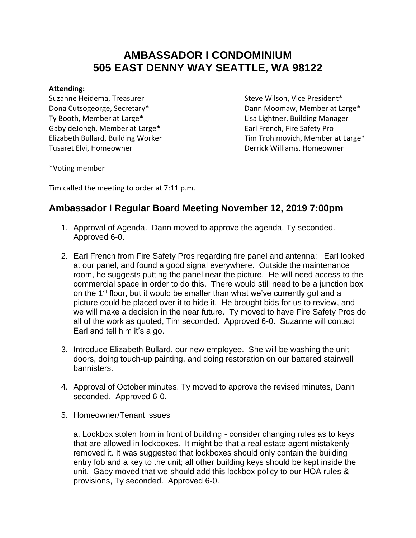## **AMBASSADOR I CONDOMINIUM 505 EAST DENNY WAY SEATTLE, WA 98122**

## **Attending:**

Suzanne Heidema, Treasurer Steve Wilson, Vice President\* Ty Booth, Member at Large\* Ty Booth, Member at Large Lisa Lightner, Building Manager Gaby deJongh, Member at Large\* The Case of Languary Earl French, Fire Safety Pro Tusaret Elvi, Homeowner **Derrick Williams, Homeowner** Derrick Williams, Homeowner

Dona Cutsogeorge, Secretary\* The Controllery of Dann Moomaw, Member at Large\* Elizabeth Bullard, Building Worker Tim Trohimovich, Member at Large\*

\*Voting member

Tim called the meeting to order at 7:11 p.m.

## **Ambassador I Regular Board Meeting November 12, 2019 7:00pm**

- 1. Approval of Agenda. Dann moved to approve the agenda, Ty seconded. Approved 6-0.
- 2. Earl French from Fire Safety Pros regarding fire panel and antenna: Earl looked at our panel, and found a good signal everywhere. Outside the maintenance room, he suggests putting the panel near the picture. He will need access to the commercial space in order to do this. There would still need to be a junction box on the 1<sup>st</sup> floor, but it would be smaller than what we've currently got and a picture could be placed over it to hide it. He brought bids for us to review, and we will make a decision in the near future. Ty moved to have Fire Safety Pros do all of the work as quoted, Tim seconded. Approved 6-0. Suzanne will contact Earl and tell him it's a go.
- 3. Introduce Elizabeth Bullard, our new employee. She will be washing the unit doors, doing touch-up painting, and doing restoration on our battered stairwell bannisters.
- 4. Approval of October minutes. Ty moved to approve the revised minutes, Dann seconded. Approved 6-0.
- 5. Homeowner/Tenant issues

a. Lockbox stolen from in front of building - consider changing rules as to keys that are allowed in lockboxes. It might be that a real estate agent mistakenly removed it. It was suggested that lockboxes should only contain the building entry fob and a key to the unit; all other building keys should be kept inside the unit. Gaby moved that we should add this lockbox policy to our HOA rules & provisions, Ty seconded. Approved 6-0.